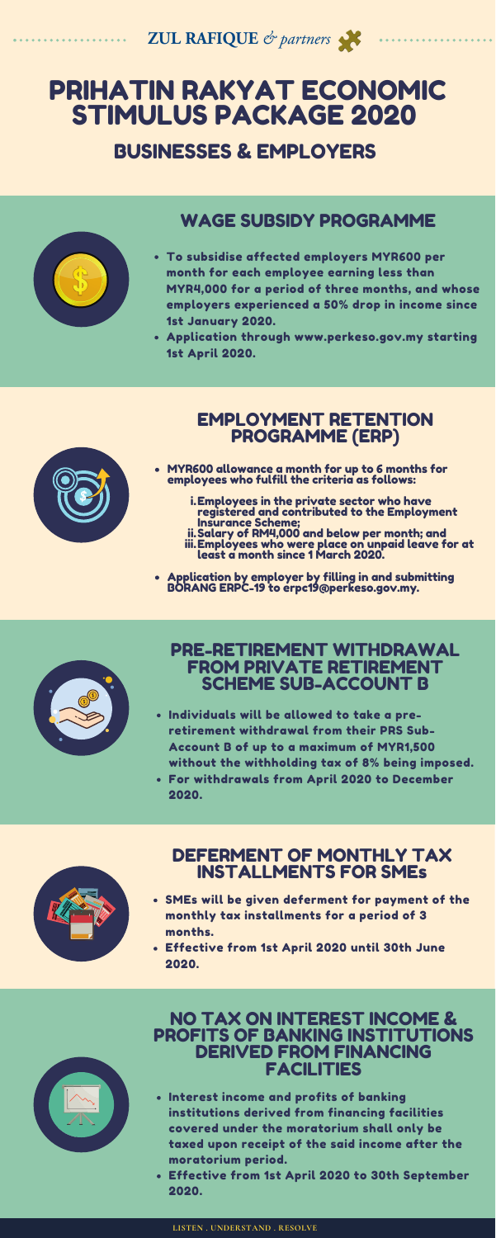**ZUL RAFIQUE** & partners

# PRIHATIN RAKYAT ECONOMIC STIMULUS PACKAGE 2020

### BUSINESSES & EMPLOYERS



- Interest income and profits of banking institutions derived from financing facilities covered under the moratorium shall only be taxed upon receipt of the said income after the moratorium period.
- Effective from 1st April 2020 to 30th September 2020.
- To subsidise affected employers MYR600 per month for each employee earning less than MYR4,000 for a period of three months, and whose employers experienced a 50% drop in income since 1st January 2020.
- Application through www.perkeso.gov.my starting 1st April 2020.



- MYR600 allowance a month for up to 6 months for<br>employees who fulfill the criteria as follows:<br>i.Employees in the private sector who have<br>reaistered and contributed to the Employmer employees who fulfill the criteria as follows:
	- Employees in the private sector who have i. registered and contributed to the Employment Insurance Scheme;
	- Salary of RM4,000 and below per month; and Employees who were place on unpaid leave for at least a month since 1 March 2020. ii. iii.
- Application by employer by filling in and submitting BORANG ERPC-19 to erpc19@perkeso.gov.my.



#### $\mathbf{r}$ EMPLOYMENT RETENTION PROGRAMME (ERP)

### WAGE SUBSIDY PROGRAMME

- Individuals will be allowed to take a preretirement withdrawal from their PRS Sub-Account B of up to a maximum of MYR1,500 without the withholding tax of 8% being imposed.
- For withdrawals from April 2020 to December 2020.



#### NO TAX ON INTEREST INCOME & PROFITS OF BANKING INSTITUTIONS DERIVED FROM FINANCING FACILITIES

- SMEs will be given deferment for payment of the monthly tax installments for a period of 3 months.
- Effective from 1st April 2020 until 30th June 2020.



#### DEFERMENT OF MONTHLY TAX INSTALLMENTS FOR SMEs

#### PRE-RETIREMENT WITHDRAWAL FROM PRIVATE RETIREMENT SCHEME SUB-ACCOUNT B